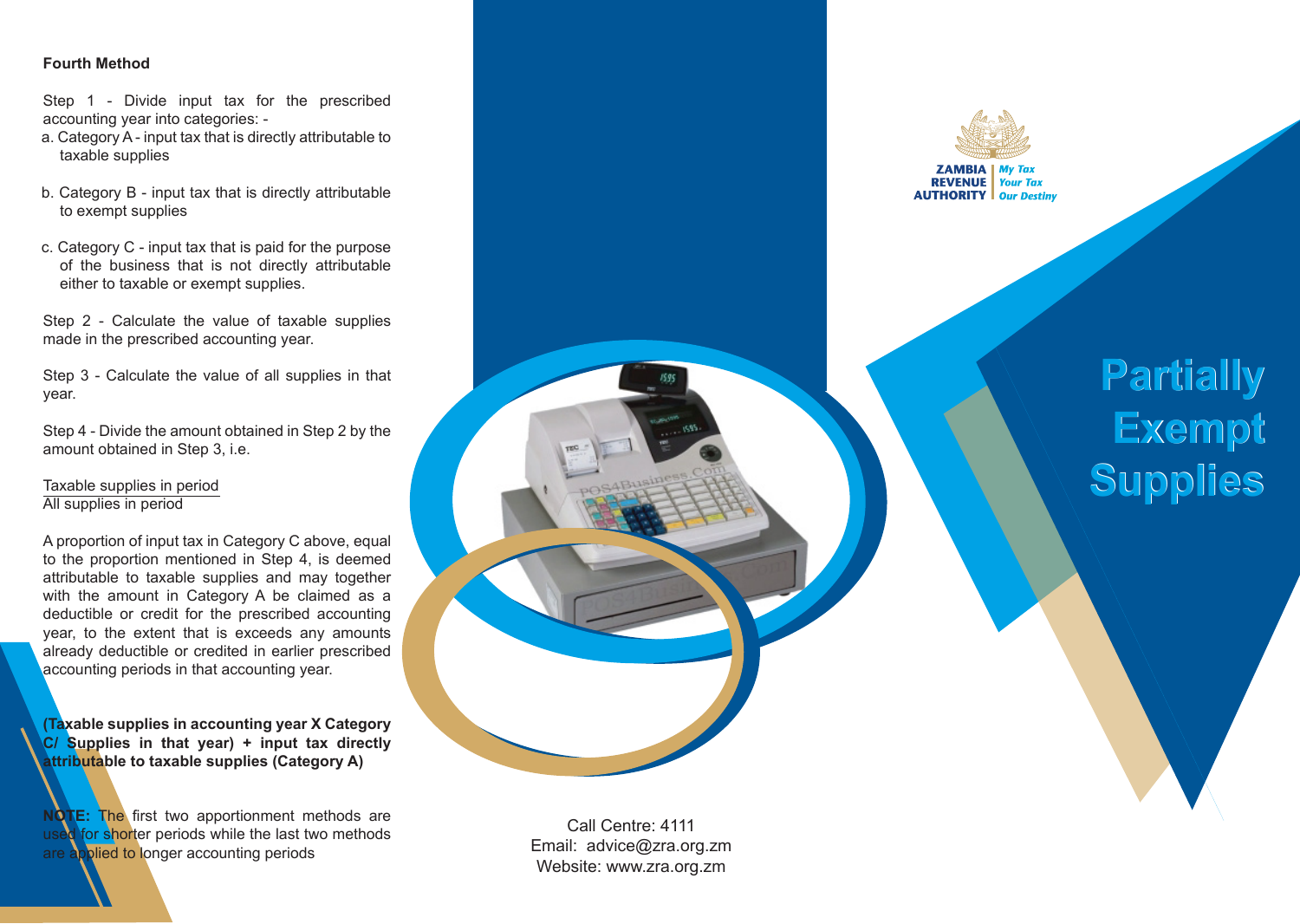## **Fourth Method**

Step 1 - Divide input tax for the prescribed accounting year into categories: -

- a. Category A input tax that is directly attributable to taxable supplies
- b. Category B input tax that is directly attributable to exempt supplies
- c. Category C input tax that is paid for the purpose of the business that is not directly attributable either to taxable or exempt supplies.

Step 2 - Calculate the value of taxable supplies made in the prescribed accounting year.

Step 3 - Calculate the value of all supplies in that year.

Step 4 - Divide the amount obtained in Step 2 by the amount obtained in Step 3, i.e.

# Taxable supplies in period All supplies in period

A proportion of input tax in Category C above, equal to the proportion mentioned in Step 4, is deemed attributable to taxable supplies and may together with the amount in Category A be claimed as a deductible or credit for the prescribed accounting year, to the extent that is exceeds any amounts already deductible or credited in earlier prescribed accounting periods in that accounting year.

**(Taxable supplies in accounting year X Category C/ Supplies in that year) + input tax directly attributable to taxable supplies (Category A)**

**NOTE:** The first two apportionment methods are used for shorter periods while the last two methods are applied to longer accounting periods



# **Partially Exempt Supplies Supplies**

Call Centre: 4111 Email: advice@zra.org.zm Website: www.zra.org.zm